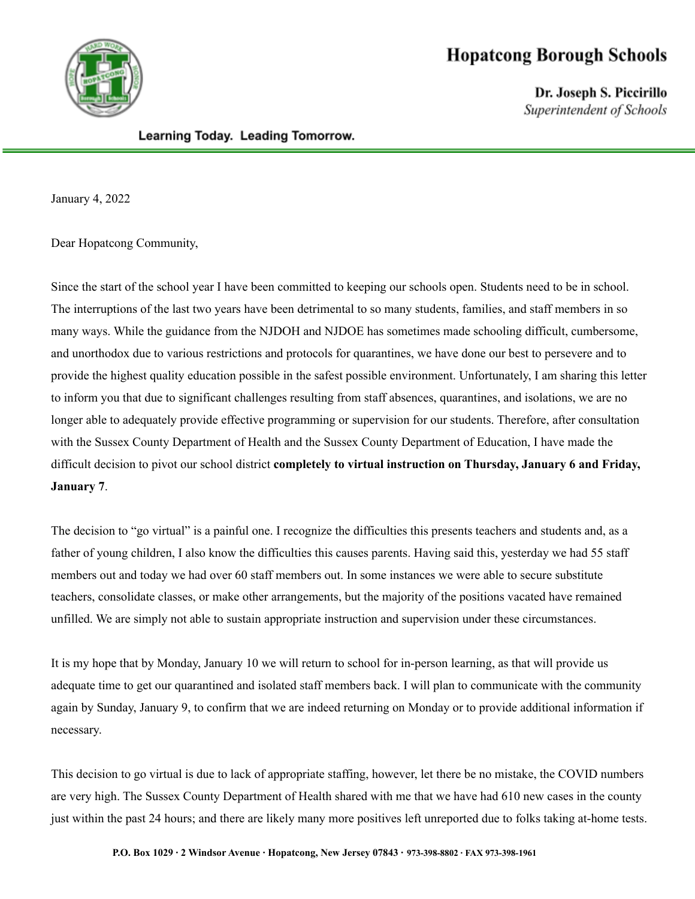

## **Hopatcong Borough Schools**

Dr. Joseph S. Piccirillo Superintendent of Schools

## Learning Today. Leading Tomorrow.

January 4, 2022

Dear Hopatcong Community,

Since the start of the school year I have been committed to keeping our schools open. Students need to be in school. The interruptions of the last two years have been detrimental to so many students, families, and staff members in so many ways. While the guidance from the NJDOH and NJDOE has sometimes made schooling difficult, cumbersome, and unorthodox due to various restrictions and protocols for quarantines, we have done our best to persevere and to provide the highest quality education possible in the safest possible environment. Unfortunately, I am sharing this letter to inform you that due to significant challenges resulting from staff absences, quarantines, and isolations, we are no longer able to adequately provide effective programming or supervision for our students. Therefore, after consultation with the Sussex County Department of Health and the Sussex County Department of Education, I have made the difficult decision to pivot our school district **completely to virtual instruction on Thursday, January 6 and Friday, January 7**.

The decision to "go virtual" is a painful one. I recognize the difficulties this presents teachers and students and, as a father of young children, I also know the difficulties this causes parents. Having said this, yesterday we had 55 staff members out and today we had over 60 staff members out. In some instances we were able to secure substitute teachers, consolidate classes, or make other arrangements, but the majority of the positions vacated have remained unfilled. We are simply not able to sustain appropriate instruction and supervision under these circumstances.

It is my hope that by Monday, January 10 we will return to school for in-person learning, as that will provide us adequate time to get our quarantined and isolated staff members back. I will plan to communicate with the community again by Sunday, January 9, to confirm that we are indeed returning on Monday or to provide additional information if necessary.

This decision to go virtual is due to lack of appropriate staffing, however, let there be no mistake, the COVID numbers are very high. The Sussex County Department of Health shared with me that we have had 610 new cases in the county just within the past 24 hours; and there are likely many more positives left unreported due to folks taking at-home tests.